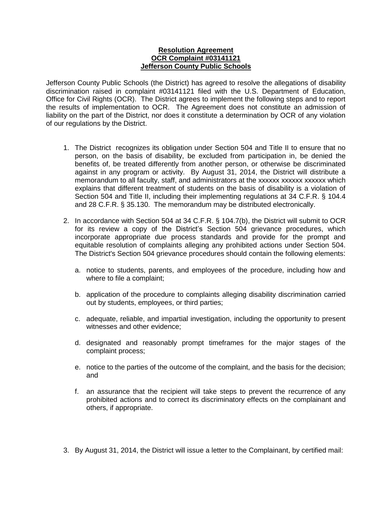## **Resolution Agreement OCR Complaint #03141121 Jefferson County Public Schools**

Jefferson County Public Schools (the District) has agreed to resolve the allegations of disability discrimination raised in complaint #03141121 filed with the U.S. Department of Education, Office for Civil Rights (OCR). The District agrees to implement the following steps and to report the results of implementation to OCR. The Agreement does not constitute an admission of liability on the part of the District, nor does it constitute a determination by OCR of any violation of our regulations by the District.

- 1. The District recognizes its obligation under Section 504 and Title II to ensure that no person, on the basis of disability, be excluded from participation in, be denied the benefits of, be treated differently from another person, or otherwise be discriminated against in any program or activity. By August 31, 2014, the District will distribute a memorandum to all faculty, staff, and administrators at the xxxxxx xxxxxx xxxxxx which explains that different treatment of students on the basis of disability is a violation of Section 504 and Title II, including their implementing regulations at 34 C.F.R. § 104.4 and 28 C.F.R. § 35.130. The memorandum may be distributed electronically.
- 2. In accordance with Section 504 at 34 C.F.R. § 104.7(b), the District will submit to OCR for its review a copy of the District's Section 504 grievance procedures, which incorporate appropriate due process standards and provide for the prompt and equitable resolution of complaints alleging any prohibited actions under Section 504. The District's Section 504 grievance procedures should contain the following elements:
	- a. notice to students, parents, and employees of the procedure, including how and where to file a complaint;
	- b. application of the procedure to complaints alleging disability discrimination carried out by students, employees, or third parties;
	- c. adequate, reliable, and impartial investigation, including the opportunity to present witnesses and other evidence;
	- d. designated and reasonably prompt timeframes for the major stages of the complaint process;
	- e. notice to the parties of the outcome of the complaint, and the basis for the decision; and
	- f. an assurance that the recipient will take steps to prevent the recurrence of any prohibited actions and to correct its discriminatory effects on the complainant and others, if appropriate.
- 3. By August 31, 2014, the District will issue a letter to the Complainant, by certified mail: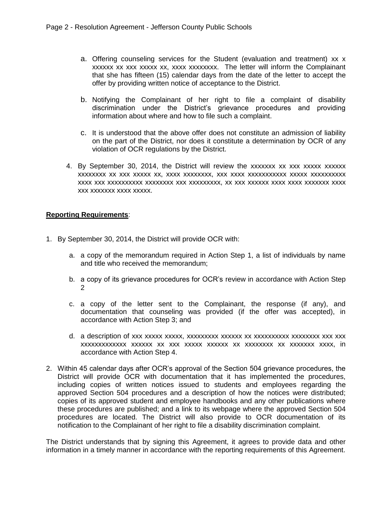- a. Offering counseling services for the Student (evaluation and treatment) xx x xxxxxx xx xxx xxxxx xx, xxxx xxxxxxxx. The letter will inform the Complainant that she has fifteen (15) calendar days from the date of the letter to accept the offer by providing written notice of acceptance to the District.
- b. Notifying the Complainant of her right to file a complaint of disability discrimination under the District's grievance procedures and providing information about where and how to file such a complaint.
- c. It is understood that the above offer does not constitute an admission of liability on the part of the District, nor does it constitute a determination by OCR of any violation of OCR regulations by the District.
- 4. By September 30, 2014, the District will review the xxxxxxx xx xxx xxxxx xxxxxx xxxxxxxx xx xxx xxxxx xx, xxxx xxxxxxxx, xxx xxxx xxxxxxxxxxx xxxxx xxxxxxxxxx xxxx xxx xxxxxxxxxx xxxxxxxx xxx xxxxxxxxx, xx xxx xxxxxx xxxx xxxx xxxxxxx xxxx xxx xxxxxxx xxxx xxxxx.

## **Reporting Requirements**:

- 1. By September 30, 2014, the District will provide OCR with:
	- a. a copy of the memorandum required in Action Step 1, a list of individuals by name and title who received the memorandum;
	- b. a copy of its grievance procedures for OCR's review in accordance with Action Step 2
	- c. a copy of the letter sent to the Complainant, the response (if any), and documentation that counseling was provided (if the offer was accepted), in accordance with Action Step 3; and
	- d. a description of xxx xxxxx xxxxx, xxxxxxxxx xxxxxx xx xxxxxxxxxx xxxxxxxx xxx xxx xxxxxxxxxxxxx xxxxxx xx xxx xxxxx xxxxxx xx xxxxxxxx xx xxxxxxx xxxx, in accordance with Action Step 4.
- 2. Within 45 calendar days after OCR's approval of the Section 504 grievance procedures, the District will provide OCR with documentation that it has implemented the procedures, including copies of written notices issued to students and employees regarding the approved Section 504 procedures and a description of how the notices were distributed; copies of its approved student and employee handbooks and any other publications where these procedures are published; and a link to its webpage where the approved Section 504 procedures are located. The District will also provide to OCR documentation of its notification to the Complainant of her right to file a disability discrimination complaint.

The District understands that by signing this Agreement, it agrees to provide data and other information in a timely manner in accordance with the reporting requirements of this Agreement.